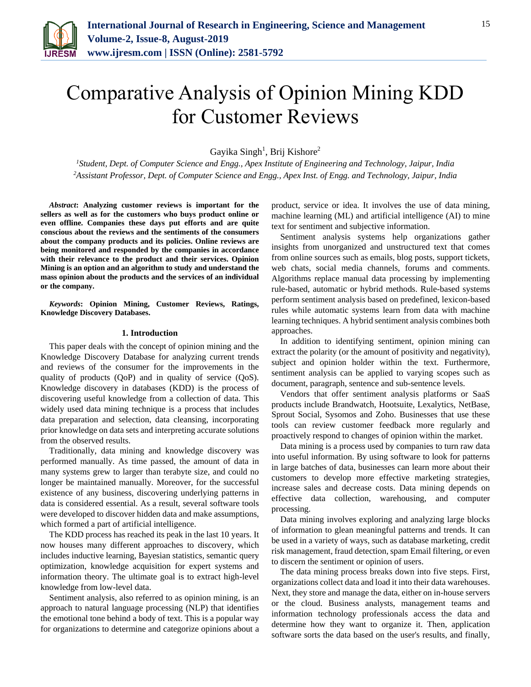

# Comparative Analysis of Opinion Mining KDD for Customer Reviews

Gayika Singh<sup>1</sup>, Brij Kishore<sup>2</sup>

*<sup>1</sup>Student, Dept. of Computer Science and Engg., Apex Institute of Engineering and Technology, Jaipur, India <sup>2</sup>Assistant Professor, Dept. of Computer Science and Engg., Apex Inst. of Engg. and Technology, Jaipur, India*

*Abstract***: Analyzing customer reviews is important for the sellers as well as for the customers who buys product online or even offline. Companies these days put efforts and are quite conscious about the reviews and the sentiments of the consumers about the company products and its policies. Online reviews are being monitored and responded by the companies in accordance with their relevance to the product and their services. Opinion Mining is an option and an algorithm to study and understand the mass opinion about the products and the services of an individual or the company.**

*Keywords***: Opinion Mining, Customer Reviews, Ratings, Knowledge Discovery Databases.** 

## **1. Introduction**

This paper deals with the concept of opinion mining and the Knowledge Discovery Database for analyzing current trends and reviews of the consumer for the improvements in the quality of products (QoP) and in quality of service (QoS). Knowledge discovery in databases (KDD) is the process of discovering useful knowledge from a collection of data. This widely used data mining technique is a process that includes data preparation and selection, data cleansing, incorporating prior knowledge on data sets and interpreting accurate solutions from the observed results.

Traditionally, data mining and knowledge discovery was performed manually. As time passed, the amount of data in many systems grew to larger than terabyte size, and could no longer be maintained manually. Moreover, for the successful existence of any business, discovering underlying patterns in data is considered essential. As a result, several software tools were developed to discover hidden data and make assumptions, which formed a part of artificial intelligence.

The KDD process has reached its peak in the last 10 years. It now houses many different approaches to discovery, which includes inductive learning, Bayesian statistics, semantic query optimization, knowledge acquisition for expert systems and information theory. The ultimate goal is to extract high-level knowledge from low-level data.

Sentiment analysis, also referred to as opinion mining, is an approach to natural language processing (NLP) that identifies the emotional tone behind a body of text. This is a popular way for organizations to determine and categorize opinions about a

product, service or idea. It involves the use of data mining, machine learning (ML) and artificial intelligence (AI) to mine text for sentiment and subjective information.

Sentiment analysis systems help organizations gather insights from unorganized and unstructured text that comes from online sources such as emails, blog posts, support tickets, web chats, social media channels, forums and comments. Algorithms replace manual data processing by implementing rule-based, automatic or hybrid methods. Rule-based systems perform sentiment analysis based on predefined, lexicon-based rules while automatic systems learn from data with machine learning techniques. A hybrid sentiment analysis combines both approaches.

In addition to identifying sentiment, opinion mining can extract the polarity (or the amount of positivity and negativity), subject and opinion holder within the text. Furthermore, sentiment analysis can be applied to varying scopes such as document, paragraph, sentence and sub-sentence levels.

Vendors that offer sentiment analysis platforms or SaaS products include Brandwatch, Hootsuite, Lexalytics, NetBase, Sprout Social, Sysomos and Zoho. Businesses that use these tools can review customer feedback more regularly and proactively respond to changes of opinion within the market.

Data mining is a process used by companies to turn raw data into useful information. By using software to look for patterns in large batches of data, businesses can learn more about their customers to develop more effective marketing strategies, increase sales and decrease costs. Data mining depends on effective data collection, warehousing, and computer processing.

Data mining involves exploring and analyzing large blocks of information to glean meaningful patterns and trends. It can be used in a variety of ways, such as database marketing, credit risk management, fraud detection, spam Email filtering, or even to discern the sentiment or opinion of users.

The data mining process breaks down into five steps. First, organizations collect data and load it into their data warehouses. Next, they store and manage the data, either on in-house servers or the cloud. Business analysts, management teams and information technology professionals access the data and determine how they want to organize it. Then, application software sorts the data based on the user's results, and finally,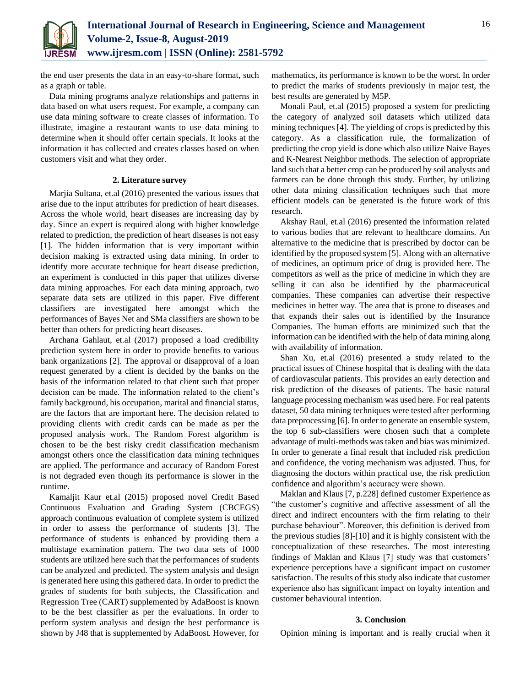

the end user presents the data in an easy-to-share format, such as a graph or table.

Data mining programs analyze relationships and patterns in data based on what users request. For example, a company can use data mining software to create classes of information. To illustrate, imagine a restaurant wants to use data mining to determine when it should offer certain specials. It looks at the information it has collected and creates classes based on when customers visit and what they order.

# **2. Literature survey**

Marjia Sultana, et.al (2016) presented the various issues that arise due to the input attributes for prediction of heart diseases. Across the whole world, heart diseases are increasing day by day. Since an expert is required along with higher knowledge related to prediction, the prediction of heart diseases is not easy [1]. The hidden information that is very important within decision making is extracted using data mining. In order to identify more accurate technique for heart disease prediction, an experiment is conducted in this paper that utilizes diverse data mining approaches. For each data mining approach, two separate data sets are utilized in this paper. Five different classifiers are investigated here amongst which the performances of Bayes Net and SMa classifiers are shown to be better than others for predicting heart diseases.

Archana Gahlaut, et.al (2017) proposed a load credibility prediction system here in order to provide benefits to various bank organizations [2]. The approval or disapproval of a loan request generated by a client is decided by the banks on the basis of the information related to that client such that proper decision can be made. The information related to the client's family background, his occupation, marital and financial status, are the factors that are important here. The decision related to providing clients with credit cards can be made as per the proposed analysis work. The Random Forest algorithm is chosen to be the best risky credit classification mechanism amongst others once the classification data mining techniques are applied. The performance and accuracy of Random Forest is not degraded even though its performance is slower in the runtime.

Kamaljit Kaur et.al (2015) proposed novel Credit Based Continuous Evaluation and Grading System (CBCEGS) approach continuous evaluation of complete system is utilized in order to assess the performance of students [3]. The performance of students is enhanced by providing them a multistage examination pattern. The two data sets of 1000 students are utilized here such that the performances of students can be analyzed and predicted. The system analysis and design is generated here using this gathered data. In order to predict the grades of students for both subjects, the Classification and Regression Tree (CART) supplemented by AdaBoost is known to be the best classifier as per the evaluations. In order to perform system analysis and design the best performance is shown by J48 that is supplemented by AdaBoost. However, for

mathematics, its performance is known to be the worst. In order to predict the marks of students previously in major test, the best results are generated by M5P.

Monali Paul, et.al (2015) proposed a system for predicting the category of analyzed soil datasets which utilized data mining techniques [4]. The yielding of crops is predicted by this category. As a classification rule, the formalization of predicting the crop yield is done which also utilize Naive Bayes and K-Nearest Neighbor methods. The selection of appropriate land such that a better crop can be produced by soil analysts and farmers can be done through this study. Further, by utilizing other data mining classification techniques such that more efficient models can be generated is the future work of this research.

Akshay Raul, et.al (2016) presented the information related to various bodies that are relevant to healthcare domains. An alternative to the medicine that is prescribed by doctor can be identified by the proposed system [5]. Along with an alternative of medicines, an optimum price of drug is provided here. The competitors as well as the price of medicine in which they are selling it can also be identified by the pharmaceutical companies. These companies can advertise their respective medicines in better way. The area that is prone to diseases and that expands their sales out is identified by the Insurance Companies. The human efforts are minimized such that the information can be identified with the help of data mining along with availability of information.

Shan Xu, et.al (2016) presented a study related to the practical issues of Chinese hospital that is dealing with the data of cardiovascular patients. This provides an early detection and risk prediction of the diseases of patients. The basic natural language processing mechanism was used here. For real patents dataset, 50 data mining techniques were tested after performing data preprocessing [6]. In order to generate an ensemble system, the top 6 sub-classifiers were chosen such that a complete advantage of multi-methods was taken and bias was minimized. In order to generate a final result that included risk prediction and confidence, the voting mechanism was adjusted. Thus, for diagnosing the doctors within practical use, the risk prediction confidence and algorithm's accuracy were shown.

Maklan and Klaus [7, p.228] defined customer Experience as "the customer's cognitive and affective assessment of all the direct and indirect encounters with the firm relating to their purchase behaviour". Moreover, this definition is derived from the previous studies [8]-[10] and it is highly consistent with the conceptualization of these researches. The most interesting findings of Maklan and Klaus [7] study was that customers' experience perceptions have a significant impact on customer satisfaction. The results of this study also indicate that customer experience also has significant impact on loyalty intention and customer behavioural intention.

### **3. Conclusion**

Opinion mining is important and is really crucial when it